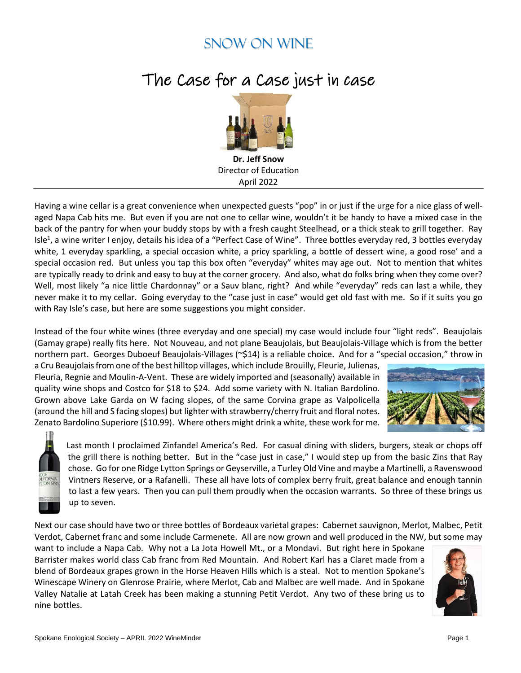## Snow on Wine

## The Case for a Case just in case



**Dr. Jeff Snow** Director of Education April 2022

Having a wine cellar is a great convenience when unexpected guests "pop" in or just if the urge for a nice glass of wellaged Napa Cab hits me. But even if you are not one to cellar wine, wouldn't it be handy to have a mixed case in the back of the pantry for when your buddy stops by with a fresh caught Steelhead, or a thick steak to grill together. Ray Isle<sup>1</sup>, a wine writer I enjoy, details his idea of a "Perfect Case of Wine". Three bottles everyday red, 3 bottles everyday white, 1 everyday sparkling, a special occasion white, a pricy sparkling, a bottle of dessert wine, a good rose' and a special occasion red. But unless you tap this box often "everyday" whites may age out. Not to mention that whites are typically ready to drink and easy to buy at the corner grocery. And also, what do folks bring when they come over? Well, most likely "a nice little Chardonnay" or a Sauv blanc, right? And while "everyday" reds can last a while, they never make it to my cellar. Going everyday to the "case just in case" would get old fast with me. So if it suits you go with Ray Isle's case, but here are some suggestions you might consider.

Instead of the four white wines (three everyday and one special) my case would include four "light reds". Beaujolais (Gamay grape) really fits here. Not Nouveau, and not plane Beaujolais, but Beaujolais-Village which is from the better northern part. Georges Duboeuf Beaujolais-Villages (~\$14) is a reliable choice. And for a "special occasion," throw in

a Cru Beaujolais from one of the best hilltop villages, which include Brouilly, Fleurie, Julienas, Fleuria, Regnie and Moulin-A-Vent. These are widely imported and (seasonally) available in quality wine shops and Costco for \$18 to \$24. Add some variety with N. Italian Bardolino. Grown above Lake Garda on W facing slopes, of the same Corvina grape as Valpolicella (around the hill and S facing slopes) but lighter with strawberry/cherry fruit and floral notes. Zenato Bardolino Superiore (\$10.99). Where others might drink a white, these work for me.





Last month I proclaimed Zinfandel America's Red. For casual dining with sliders, burgers, steak or chops off the grill there is nothing better. But in the "case just in case," I would step up from the basic Zins that Ray chose. Go for one Ridge Lytton Springs or Geyserville, a Turley Old Vine and maybe a Martinelli, a Ravenswood Vintners Reserve, or a Rafanelli. These all have lots of complex berry fruit, great balance and enough tannin to last a few years. Then you can pull them proudly when the occasion warrants. So three of these brings us up to seven.

Next our case should have two or three bottles of Bordeaux varietal grapes: Cabernet sauvignon, Merlot, Malbec, Petit Verdot, Cabernet franc and some include Carmenete. All are now grown and well produced in the NW, but some may

want to include a Napa Cab. Why not a La Jota Howell Mt., or a Mondavi. But right here in Spokane Barrister makes world class Cab franc from Red Mountain. And Robert Karl has a Claret made from a blend of Bordeaux grapes grown in the Horse Heaven Hills which is a steal. Not to mention Spokane's Winescape Winery on Glenrose Prairie, where Merlot, Cab and Malbec are well made. And in Spokane Valley Natalie at Latah Creek has been making a stunning Petit Verdot. Any two of these bring us to nine bottles.